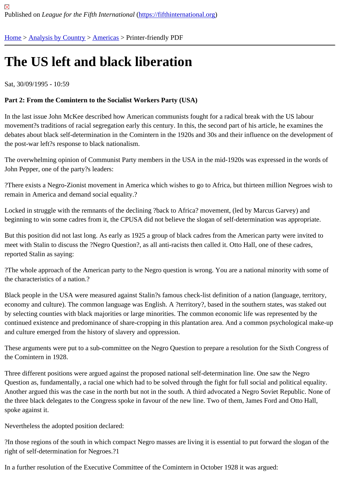# [The](https://fifthinternational.org/) [US left an](https://fifthinternational.org/category/1)[d bla](https://fifthinternational.org/category/1/56)ck liberation

Sat, 30/09/1995 - 10:59

Part 2: From the Comintern to the Socialist Workers Party (USA)

In the last issue John McKee described how American communists fought for a radical break with the US labour movement?s traditions of racial segregation early this century. In this, the second part of his article, he examines t debates about black self-determination in the Comintern in the 1920s and 30s and their influence on the developm the post-war left?s response to black nationalism.

The overwhelming opinion of Communist Party members in the USA in the mid-1920s was expressed in the words John Pepper, one of the party?s leaders:

?There exists a Negro-Zionist movement in America which wishes to go to Africa, but thirteen million Negroes wisl remain in America and demand social equality.?

Locked in struggle with the remnants of the declining ?back to Africa? movement, (led by Marcus Garvey) and beginning to win some cadres from it, the CPUSA did not believe the slogan of self-determination was appropriate

But this position did not last long. As early as 1925 a group of black cadres from the American party were invited to meet with Stalin to discuss the ?Negro Question?, as all anti-racists then called it. Otto Hall, one of these cadres, reported Stalin as saying:

?The whole approach of the American party to the Negro question is wrong. You are a national minority with some the characteristics of a nation.?

Black people in the USA were measured against Stalin?s famous check-list definition of a nation (language, territo economy and culture). The common language was English. A ?territory?, based in the southern states, was stake by selecting counties with black majorities or large minorities. The common economic life was represented by the continued existence and predominance of share-cropping in this plantation area. And a common psychological ma and culture emerged from the history of slavery and oppression.

These arguments were put to a sub-committee on the Negro Question to prepare a resolution for the Sixth Congre the Comintern in 1928.

Three different positions were argued against the proposed national self-determination line. One saw the Negro Question as, fundamentally, a racial one which had to be solved through the fight for full social and political equalit Another argued this was the case in the north but not in the south. A third advocated a Negro Soviet Republic. Nor the three black delegates to the Congress spoke in favour of the new line. Two of them, James Ford and Otto Hall, spoke against it.

Nevertheless the adopted position declared:

?In those regions of the south in which compact Negro masses are living it is essential to put forward the slogan o right of self-determination for Negroes.?1

In a further resolution of the Executive Committee of the Comintern in October 1928 it was argued: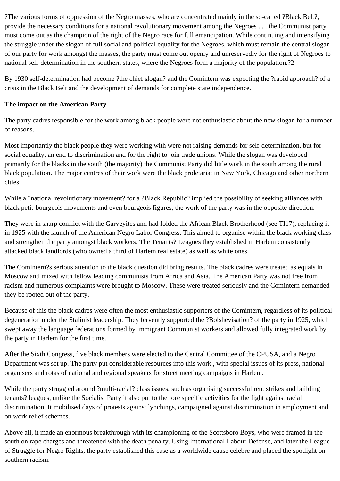?The various forms of oppression of the Negro masses, who are concentrated mainly in the so-called ?Black Belt?, provide the necessary conditions for a national revolutionary movement among the Negroes . . . the Communist party must come out as the champion of the right of the Negro race for full emancipation. While continuing and intensifying the struggle under the slogan of full social and political equality for the Negroes, which must remain the central slogan of our party for work amongst the masses, the party must come out openly and unreservedly for the right of Negroes to national self-determination in the southern states, where the Negroes form a majority of the population.?2

By 1930 self-determination had become ?the chief slogan? and the Comintern was expecting the ?rapid approach? of a crisis in the Black Belt and the development of demands for complete state independence.

## **The impact on the American Party**

The party cadres responsible for the work among black people were not enthusiastic about the new slogan for a number of reasons.

Most importantly the black people they were working with were not raising demands for self-determination, but for social equality, an end to discrimination and for the right to join trade unions. While the slogan was developed primarily for the blacks in the south (the majority) the Communist Party did little work in the south among the rural black population. The major centres of their work were the black proletariat in New York, Chicago and other northern cities.

While a ?national revolutionary movement? for a ?Black Republic? implied the possibility of seeking alliances with black petit-bourgeois movements and even bourgeois figures, the work of the party was in the opposite direction.

They were in sharp conflict with the Garveyites and had folded the African Black Brotherhood (see TI17), replacing it in 1925 with the launch of the American Negro Labor Congress. This aimed to organise within the black working class and strengthen the party amongst black workers. The Tenants? Leagues they established in Harlem consistently attacked black landlords (who owned a third of Harlem real estate) as well as white ones.

The Comintern?s serious attention to the black question did bring results. The black cadres were treated as equals in Moscow and mixed with fellow leading communists from Africa and Asia. The American Party was not free from racism and numerous complaints were brought to Moscow. These were treated seriously and the Comintern demanded they be rooted out of the party.

Because of this the black cadres were often the most enthusiastic supporters of the Comintern, regardless of its political degeneration under the Stalinist leadership. They fervently supported the ?Bolshevisation? of the party in 1925, which swept away the language federations formed by immigrant Communist workers and allowed fully integrated work by the party in Harlem for the first time.

After the Sixth Congress, five black members were elected to the Central Committee of the CPUSA, and a Negro Department was set up. The party put considerable resources into this work , with special issues of its press, national organisers and rotas of national and regional speakers for street meeting campaigns in Harlem.

While the party struggled around ?multi-racial? class issues, such as organising successful rent strikes and building tenants? leagues, unlike the Socialist Party it also put to the fore specific activities for the fight against racial discrimination. It mobilised days of protests against lynchings, campaigned against discrimination in employment and on work relief schemes.

Above all, it made an enormous breakthrough with its championing of the Scottsboro Boys, who were framed in the south on rape charges and threatened with the death penalty. Using International Labour Defense, and later the League of Struggle for Negro Rights, the party established this case as a worldwide cause celebre and placed the spotlight on southern racism.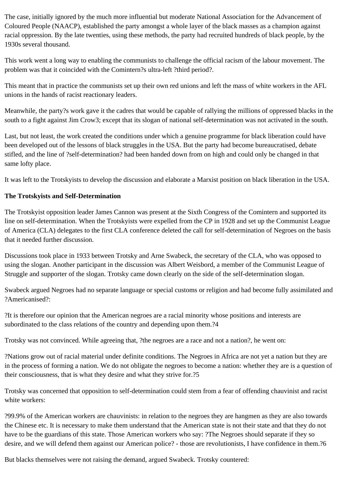The case, initially ignored by the much more influential but moderate National Association for the Advancement of Coloured People (NAACP), established the party amongst a whole layer of the black masses as a champion against racial oppression. By the late twenties, using these methods, the party had recruited hundreds of black people, by the 1930s several thousand.

This work went a long way to enabling the communists to challenge the official racism of the labour movement. The problem was that it coincided with the Comintern?s ultra-left ?third period?.

This meant that in practice the communists set up their own red unions and left the mass of white workers in the AFL unions in the hands of racist reactionary leaders.

Meanwhile, the party?s work gave it the cadres that would be capable of rallying the millions of oppressed blacks in the south to a fight against Jim Crow3; except that its slogan of national self-determination was not activated in the south.

Last, but not least, the work created the conditions under which a genuine programme for black liberation could have been developed out of the lessons of black struggles in the USA. But the party had become bureaucratised, debate stifled, and the line of ?self-determination? had been handed down from on high and could only be changed in that same lofty place.

It was left to the Trotskyists to develop the discussion and elaborate a Marxist position on black liberation in the USA.

# **The Trotskyists and Self-Determination**

The Trotskyist opposition leader James Cannon was present at the Sixth Congress of the Comintern and supported its line on self-determination. When the Trotskyists were expelled from the CP in 1928 and set up the Communist League of America (CLA) delegates to the first CLA conference deleted the call for self-determination of Negroes on the basis that it needed further discussion.

Discussions took place in 1933 between Trotsky and Arne Swabeck, the secretary of the CLA, who was opposed to using the slogan. Another participant in the discussion was Albert Weisbord, a member of the Communist League of Struggle and supporter of the slogan. Trotsky came down clearly on the side of the self-determination slogan.

Swabeck argued Negroes had no separate language or special customs or religion and had become fully assimilated and ?Americanised?:

?It is therefore our opinion that the American negroes are a racial minority whose positions and interests are subordinated to the class relations of the country and depending upon them.?4

Trotsky was not convinced. While agreeing that, ?the negroes are a race and not a nation?, he went on:

?Nations grow out of racial material under definite conditions. The Negroes in Africa are not yet a nation but they are in the process of forming a nation. We do not obligate the negroes to become a nation: whether they are is a question of their consciousness, that is what they desire and what they strive for.?5

Trotsky was concerned that opposition to self-determination could stem from a fear of offending chauvinist and racist white workers:

?99.9% of the American workers are chauvinists: in relation to the negroes they are hangmen as they are also towards the Chinese etc. It is necessary to make them understand that the American state is not their state and that they do not have to be the guardians of this state. Those American workers who say: ?The Negroes should separate if they so desire, and we will defend them against our American police? - those are revolutionists, I have confidence in them.?6

But blacks themselves were not raising the demand, argued Swabeck. Trotsky countered: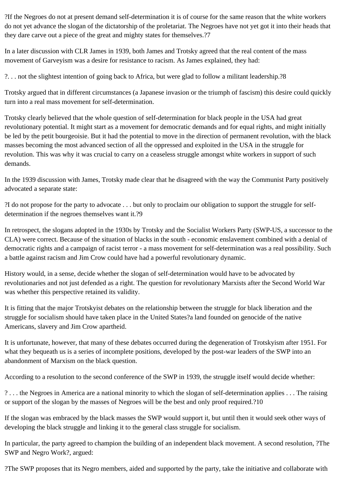?If the Negroes do not at present demand self-determination it is of course for the same reason that the white workers do not yet advance the slogan of the dictatorship of the proletariat. The Negroes have not yet got it into their heads that they dare carve out a piece of the great and mighty states for themselves.?7

In a later discussion with CLR James in 1939, both James and Trotsky agreed that the real content of the mass movement of Garveyism was a desire for resistance to racism. As James explained, they had:

?. . . not the slightest intention of going back to Africa, but were glad to follow a militant leadership.?8

Trotsky argued that in different circumstances (a Japanese invasion or the triumph of fascism) this desire could quickly turn into a real mass movement for self-determination.

Trotsky clearly believed that the whole question of self-determination for black people in the USA had great revolutionary potential. It might start as a movement for democratic demands and for equal rights, and might initially be led by the petit bourgeoisie. But it had the potential to move in the direction of permanent revolution, with the black masses becoming the most advanced section of all the oppressed and exploited in the USA in the struggle for revolution. This was why it was crucial to carry on a ceaseless struggle amongst white workers in support of such demands.

In the 1939 discussion with James, Trotsky made clear that he disagreed with the way the Communist Party positively advocated a separate state:

?I do not propose for the party to advocate . . . but only to proclaim our obligation to support the struggle for selfdetermination if the negroes themselves want it.?9

In retrospect, the slogans adopted in the 1930s by Trotsky and the Socialist Workers Party (SWP-US, a successor to the CLA) were correct. Because of the situation of blacks in the south - economic enslavement combined with a denial of democratic rights and a campaign of racist terror - a mass movement for self-determination was a real possibility. Such a battle against racism and Jim Crow could have had a powerful revolutionary dynamic.

History would, in a sense, decide whether the slogan of self-determination would have to be advocated by revolutionaries and not just defended as a right. The question for revolutionary Marxists after the Second World War was whether this perspective retained its validity.

It is fitting that the major Trotskyist debates on the relationship between the struggle for black liberation and the struggle for socialism should have taken place in the United States?a land founded on genocide of the native Americans, slavery and Jim Crow apartheid.

It is unfortunate, however, that many of these debates occurred during the degeneration of Trotskyism after 1951. For what they bequeath us is a series of incomplete positions, developed by the post-war leaders of the SWP into an abandonment of Marxism on the black question.

According to a resolution to the second conference of the SWP in 1939, the struggle itself would decide whether:

? . . . the Negroes in America are a national minority to which the slogan of self-determination applies . . . The raising or support of the slogan by the masses of Negroes will be the best and only proof required.?10

If the slogan was embraced by the black masses the SWP would support it, but until then it would seek other ways of developing the black struggle and linking it to the general class struggle for socialism.

In particular, the party agreed to champion the building of an independent black movement. A second resolution, ?The SWP and Negro Work?, argued:

?The SWP proposes that its Negro members, aided and supported by the party, take the initiative and collaborate with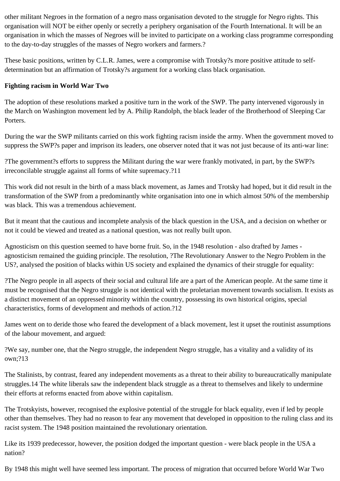other militant Negroes in the formation of a negro mass organisation devoted to the struggle for Negro rights. This organisation will NOT be either openly or secretly a periphery organisation of the Fourth International. It will be an organisation in which the masses of Negroes will be invited to participate on a working class programme corresponding to the day-to-day struggles of the masses of Negro workers and farmers.?

These basic positions, written by C.L.R. James, were a compromise with Trotsky?s more positive attitude to selfdetermination but an affirmation of Trotsky?s argument for a working class black organisation.

#### **Fighting racism in World War Two**

The adoption of these resolutions marked a positive turn in the work of the SWP. The party intervened vigorously in the March on Washington movement led by A. Philip Randolph, the black leader of the Brotherhood of Sleeping Car Porters.

During the war the SWP militants carried on this work fighting racism inside the army. When the government moved to suppress the SWP?s paper and imprison its leaders, one observer noted that it was not just because of its anti-war line:

?The government?s efforts to suppress the Militant during the war were frankly motivated, in part, by the SWP?s irreconcilable struggle against all forms of white supremacy.?11

This work did not result in the birth of a mass black movement, as James and Trotsky had hoped, but it did result in the transformation of the SWP from a predominantly white organisation into one in which almost 50% of the membership was black. This was a tremendous achievement.

But it meant that the cautious and incomplete analysis of the black question in the USA, and a decision on whether or not it could be viewed and treated as a national question, was not really built upon.

Agnosticism on this question seemed to have borne fruit. So, in the 1948 resolution - also drafted by James agnosticism remained the guiding principle. The resolution, ?The Revolutionary Answer to the Negro Problem in the US?, analysed the position of blacks within US society and explained the dynamics of their struggle for equality:

?The Negro people in all aspects of their social and cultural life are a part of the American people. At the same time it must be recognised that the Negro struggle is not identical with the proletarian movement towards socialism. It exists as a distinct movement of an oppressed minority within the country, possessing its own historical origins, special characteristics, forms of development and methods of action.?12

James went on to deride those who feared the development of a black movement, lest it upset the routinist assumptions of the labour movement, and argued:

?We say, number one, that the Negro struggle, the independent Negro struggle, has a vitality and a validity of its own;?13

The Stalinists, by contrast, feared any independent movements as a threat to their ability to bureaucratically manipulate struggles.14 The white liberals saw the independent black struggle as a threat to themselves and likely to undermine their efforts at reforms enacted from above within capitalism.

The Trotskyists, however, recognised the explosive potential of the struggle for black equality, even if led by people other than themselves. They had no reason to fear any movement that developed in opposition to the ruling class and its racist system. The 1948 position maintained the revolutionary orientation.

Like its 1939 predecessor, however, the position dodged the important question - were black people in the USA a nation?

By 1948 this might well have seemed less important. The process of migration that occurred before World War Two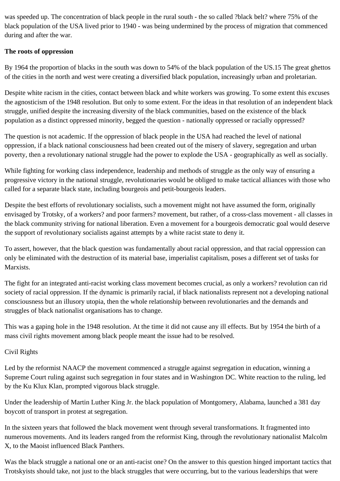was speeded up. The concentration of black people in the rural south - the so called ?black belt? where 75% of the black population of the USA lived prior to 1940 - was being undermined by the process of migration that commenced during and after the war.

## **The roots of oppression**

By 1964 the proportion of blacks in the south was down to 54% of the black population of the US.15 The great ghettos of the cities in the north and west were creating a diversified black population, increasingly urban and proletarian.

Despite white racism in the cities, contact between black and white workers was growing. To some extent this excuses the agnosticism of the 1948 resolution. But only to some extent. For the ideas in that resolution of an independent black struggle, unified despite the increasing diversity of the black communities, based on the existence of the black population as a distinct oppressed minority, begged the question - nationally oppressed or racially oppressed?

The question is not academic. If the oppression of black people in the USA had reached the level of national oppression, if a black national consciousness had been created out of the misery of slavery, segregation and urban poverty, then a revolutionary national struggle had the power to explode the USA - geographically as well as socially.

While fighting for working class independence, leadership and methods of struggle as the only way of ensuring a progressive victory in the national struggle, revolutionaries would be obliged to make tactical alliances with those who called for a separate black state, including bourgeois and petit-bourgeois leaders.

Despite the best efforts of revolutionary socialists, such a movement might not have assumed the form, originally envisaged by Trotsky, of a workers? and poor farmers? movement, but rather, of a cross-class movement - all classes in the black community striving for national liberation. Even a movement for a bourgeois democratic goal would deserve the support of revolutionary socialists against attempts by a white racist state to deny it.

To assert, however, that the black question was fundamentally about racial oppression, and that racial oppression can only be eliminated with the destruction of its material base, imperialist capitalism, poses a different set of tasks for Marxists.

The fight for an integrated anti-racist working class movement becomes crucial, as only a workers? revolution can rid society of racial oppression. If the dynamic is primarily racial, if black nationalists represent not a developing national consciousness but an illusory utopia, then the whole relationship between revolutionaries and the demands and struggles of black nationalist organisations has to change.

This was a gaping hole in the 1948 resolution. At the time it did not cause any ill effects. But by 1954 the birth of a mass civil rights movement among black people meant the issue had to be resolved.

# Civil Rights

Led by the reformist NAACP the movement commenced a struggle against segregation in education, winning a Supreme Court ruling against such segregation in four states and in Washington DC. White reaction to the ruling, led by the Ku Klux Klan, prompted vigorous black struggle.

Under the leadership of Martin Luther King Jr. the black population of Montgomery, Alabama, launched a 381 day boycott of transport in protest at segregation.

In the sixteen years that followed the black movement went through several transformations. It fragmented into numerous movements. And its leaders ranged from the reformist King, through the revolutionary nationalist Malcolm X, to the Maoist influenced Black Panthers.

Was the black struggle a national one or an anti-racist one? On the answer to this question hinged important tactics that Trotskyists should take, not just to the black struggles that were occurring, but to the various leaderships that were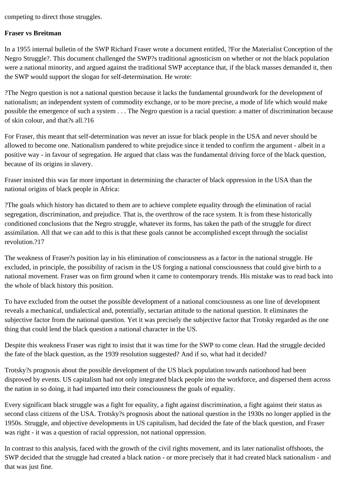competing to direct those struggles.

#### **Fraser vs Breitman**

In a 1955 internal bulletin of the SWP Richard Fraser wrote a document entitled, ?For the Materialist Conception of the Negro Struggle?. This document challenged the SWP?s traditional agnosticism on whether or not the black population were a national minority, and argued against the traditional SWP acceptance that, if the black masses demanded it, then the SWP would support the slogan for self-determination. He wrote:

?The Negro question is not a national question because it lacks the fundamental groundwork for the development of nationalism; an independent system of commodity exchange, or to be more precise, a mode of life which would make possible the emergence of such a system . . . The Negro question is a racial question: a matter of discrimination because of skin colour, and that?s all.?16

For Fraser, this meant that self-determination was never an issue for black people in the USA and never should be allowed to become one. Nationalism pandered to white prejudice since it tended to confirm the argument - albeit in a positive way - in favour of segregation. He argued that class was the fundamental driving force of the black question, because of its origins in slavery.

Fraser insisted this was far more important in determining the character of black oppression in the USA than the national origins of black people in Africa:

?The goals which history has dictated to them are to achieve complete equality through the elimination of racial segregation, discrimination, and prejudice. That is, the overthrow of the race system. It is from these historically conditioned conclusions that the Negro struggle, whatever its forms, has taken the path of the struggle for direct assimilation. All that we can add to this is that these goals cannot be accomplished except through the socialist revolution.?17

The weakness of Fraser?s position lay in his elimination of consciousness as a factor in the national struggle. He excluded, in principle, the possibility of racism in the US forging a national consciousness that could give birth to a national movement. Fraser was on firm ground when it came to contemporary trends. His mistake was to read back into the whole of black history this position.

To have excluded from the outset the possible development of a national consciousness as one line of development reveals a mechanical, undialectical and, potentially, sectarian attitude to the national question. It eliminates the subjective factor from the national question. Yet it was precisely the subjective factor that Trotsky regarded as the one thing that could lend the black question a national character in the US.

Despite this weakness Fraser was right to insist that it was time for the SWP to come clean. Had the struggle decided the fate of the black question, as the 1939 resolution suggested? And if so, what had it decided?

Trotsky?s prognosis about the possible development of the US black population towards nationhood had been disproved by events. US capitalism had not only integrated black people into the workforce, and dispersed them across the nation in so doing, it had imparted into their consciousness the goals of equality.

Every significant black struggle was a fight for equality, a fight against discrimination, a fight against their status as second class citizens of the USA. Trotsky?s prognosis about the national question in the 1930s no longer applied in the 1950s. Struggle, and objective developments in US capitalism, had decided the fate of the black question, and Fraser was right - it was a question of racial oppression, not national oppression.

In contrast to this analysis, faced with the growth of the civil rights movement, and its later nationalist offshoots, the SWP decided that the struggle had created a black nation - or more precisely that it had created black nationalism - and that was just fine.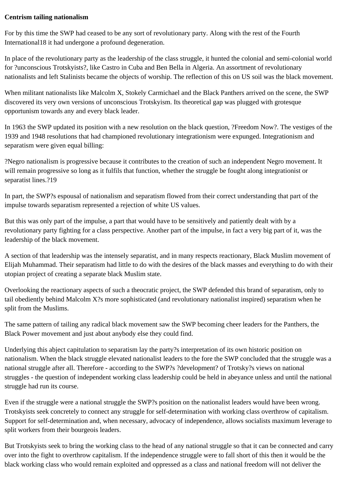#### **Centrism tailing nationalism**

For by this time the SWP had ceased to be any sort of revolutionary party. Along with the rest of the Fourth International18 it had undergone a profound degeneration.

In place of the revolutionary party as the leadership of the class struggle, it hunted the colonial and semi-colonial world for ?unconscious Trotskyists?, like Castro in Cuba and Ben Bella in Algeria. An assortment of revolutionary nationalists and left Stalinists became the objects of worship. The reflection of this on US soil was the black movement.

When militant nationalists like Malcolm X, Stokely Carmichael and the Black Panthers arrived on the scene, the SWP discovered its very own versions of unconscious Trotskyism. Its theoretical gap was plugged with grotesque opportunism towards any and every black leader.

In 1963 the SWP updated its position with a new resolution on the black question, ?Freedom Now?. The vestiges of the 1939 and 1948 resolutions that had championed revolutionary integrationism were expunged. Integrationism and separatism were given equal billing:

?Negro nationalism is progressive because it contributes to the creation of such an independent Negro movement. It will remain progressive so long as it fulfils that function, whether the struggle be fought along integrationist or separatist lines.?19

In part, the SWP?s espousal of nationalism and separatism flowed from their correct understanding that part of the impulse towards separatism represented a rejection of white US values.

But this was only part of the impulse, a part that would have to be sensitively and patiently dealt with by a revolutionary party fighting for a class perspective. Another part of the impulse, in fact a very big part of it, was the leadership of the black movement.

A section of that leadership was the intensely separatist, and in many respects reactionary, Black Muslim movement of Elijah Muhammad. Their separatism had little to do with the desires of the black masses and everything to do with their utopian project of creating a separate black Muslim state.

Overlooking the reactionary aspects of such a theocratic project, the SWP defended this brand of separatism, only to tail obediently behind Malcolm X?s more sophisticated (and revolutionary nationalist inspired) separatism when he split from the Muslims.

The same pattern of tailing any radical black movement saw the SWP becoming cheer leaders for the Panthers, the Black Power movement and just about anybody else they could find.

Underlying this abject capitulation to separatism lay the party?s interpretation of its own historic position on nationalism. When the black struggle elevated nationalist leaders to the fore the SWP concluded that the struggle was a national struggle after all. Therefore - according to the SWP?s ?development? of Trotsky?s views on national struggles - the question of independent working class leadership could be held in abeyance unless and until the national struggle had run its course.

Even if the struggle were a national struggle the SWP?s position on the nationalist leaders would have been wrong. Trotskyists seek concretely to connect any struggle for self-determination with working class overthrow of capitalism. Support for self-determination and, when necessary, advocacy of independence, allows socialists maximum leverage to split workers from their bourgeois leaders.

But Trotskyists seek to bring the working class to the head of any national struggle so that it can be connected and carry over into the fight to overthrow capitalism. If the independence struggle were to fall short of this then it would be the black working class who would remain exploited and oppressed as a class and national freedom will not deliver the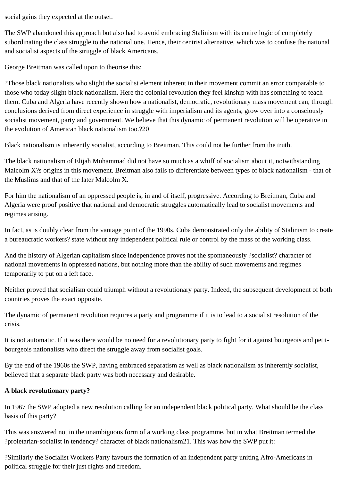social gains they expected at the outset.

The SWP abandoned this approach but also had to avoid embracing Stalinism with its entire logic of completely subordinating the class struggle to the national one. Hence, their centrist alternative, which was to confuse the national and socialist aspects of the struggle of black Americans.

George Breitman was called upon to theorise this:

?Those black nationalists who slight the socialist element inherent in their movement commit an error comparable to those who today slight black nationalism. Here the colonial revolution they feel kinship with has something to teach them. Cuba and Algeria have recently shown how a nationalist, democratic, revolutionary mass movement can, through conclusions derived from direct experience in struggle with imperialism and its agents, grow over into a consciously socialist movement, party and government. We believe that this dynamic of permanent revolution will be operative in the evolution of American black nationalism too.?20

Black nationalism is inherently socialist, according to Breitman. This could not be further from the truth.

The black nationalism of Elijah Muhammad did not have so much as a whiff of socialism about it, notwithstanding Malcolm X?s origins in this movement. Breitman also fails to differentiate between types of black nationalism - that of the Muslims and that of the later Malcolm X.

For him the nationalism of an oppressed people is, in and of itself, progressive. According to Breitman, Cuba and Algeria were proof positive that national and democratic struggles automatically lead to socialist movements and regimes arising.

In fact, as is doubly clear from the vantage point of the 1990s, Cuba demonstrated only the ability of Stalinism to create a bureaucratic workers? state without any independent political rule or control by the mass of the working class.

And the history of Algerian capitalism since independence proves not the spontaneously ?socialist? character of national movements in oppressed nations, but nothing more than the ability of such movements and regimes temporarily to put on a left face.

Neither proved that socialism could triumph without a revolutionary party. Indeed, the subsequent development of both countries proves the exact opposite.

The dynamic of permanent revolution requires a party and programme if it is to lead to a socialist resolution of the crisis.

It is not automatic. If it was there would be no need for a revolutionary party to fight for it against bourgeois and petitbourgeois nationalists who direct the struggle away from socialist goals.

By the end of the 1960s the SWP, having embraced separatism as well as black nationalism as inherently socialist, believed that a separate black party was both necessary and desirable.

# **A black revolutionary party?**

In 1967 the SWP adopted a new resolution calling for an independent black political party. What should be the class basis of this party?

This was answered not in the unambiguous form of a working class programme, but in what Breitman termed the ?proletarian-socialist in tendency? character of black nationalism21. This was how the SWP put it:

?Similarly the Socialist Workers Party favours the formation of an independent party uniting Afro-Americans in political struggle for their just rights and freedom.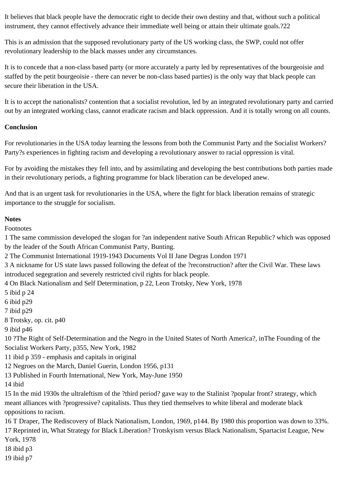It believes that black people have the democratic right to decide their own destiny and that, without such a political instrument, they cannot effectively advance their immediate well being or attain their ultimate goals.?22

This is an admission that the supposed revolutionary party of the US working class, the SWP, could not offer revolutionary leadership to the black masses under any circumstances.

It is to concede that a non-class based party (or more accurately a party led by representatives of the bourgeoisie and staffed by the petit bourgeoisie - there can never be non-class based parties) is the only way that black people can secure their liberation in the USA.

It is to accept the nationalists? contention that a socialist revolution, led by an integrated revolutionary party and carried out by an integrated working class, cannot eradicate racism and black oppression. And it is totally wrong on all counts.

# **Conclusion**

For revolutionaries in the USA today learning the lessons from both the Communist Party and the Socialist Workers? Party?s experiences in fighting racism and developing a revolutionary answer to racial oppression is vital.

For by avoiding the mistakes they fell into, and by assimilating and developing the best contributions both parties made in their revolutionary periods, a fighting programme for black liberation can be developed anew.

And that is an urgent task for revolutionaries in the USA, where the fight for black liberation remains of strategic importance to the struggle for socialism.

# **Notes**

Footnotes

1 The same commission developed the slogan for ?an independent native South African Republic? which was opposed by the leader of the South African Communist Party, Bunting.

2 The Communist International 1919-1943 Documents Vol II Jane Degras London 1971

3 A nickname for US state laws passed following the defeat of the ?reconstruction? after the Civil War. These laws introduced segegration and severely restricted civil rights for black people.

4 On Black Nationalism and Self Determination, p 22, Leon Trotsky, New York, 1978

5 ibid p 24

6 ibid p29

7 ibid p29

8 Trotsky, op. cit. p40

9 ibid p46

10 ?The Right of Self-Determination and the Negro in the United States of North America?, inThe Founding of the Socialist Workers Party, p355, New York, 1982

11 ibid p 359 - emphasis and capitals in original

12 Negroes on the March, Daniel Guerin, London 1956, p131

13 Published in Fourth International, New York, May-June 1950

14 ibid

15 In the mid 1930s the ultraleftism of the ?third period? gave way to the Stalinist ?popular front? strategy, which meant alliances with ?progressive? capitalists. Thus they tied themselves to white liberal and moderate black oppositions to racism.

16 T Draper, The Rediscovery of Black Nationalism, London, 1969, p144. By 1980 this proportion was down to 33%. 17 Reprinted in, What Strategy for Black Liberation? Trotskyism versus Black Nationalism, Spartacist League, New York, 1978

18 ibid p3

19 ibid p7